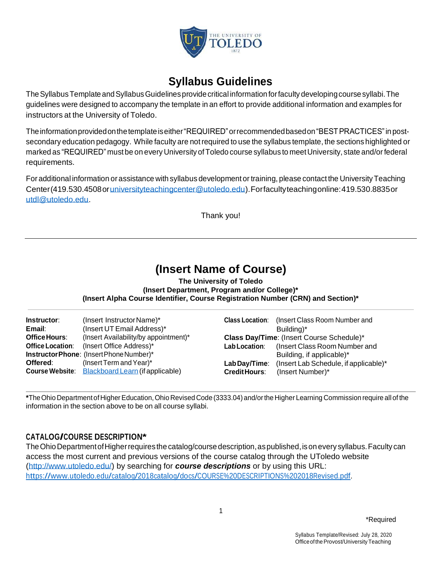

# **Syllabus Guidelines**

TheSyllabusTemplate andSyllabusGuidelinesprovidecritical information forfaculty developingcourse syllabi.The guidelines were designed to accompany the template in an effort to provide additional information and examples for instructors at the University of Toledo.

Theinformationprovidedonthetemplateiseither"REQUIRED"orrecommendedbasedon"BESTPRACTICES"in postsecondary education pedagogy. While faculty are not required to use the syllabus template, the sections highlighted or marked as "REQUIRED" mustbe on every University ofToledo course syllabus to meetUniversity, state and/orfederal requirements.

For additional information or assistance with syllabus developmentor training, please contact the UniversityTeaching Center(419.530.4508o[runiversityteachingcenter@utoledo.edu\)](mailto:universityteachingcenter@utoledo.edu).Forfacultyteachingonline:419.530.8835or [utdl@utoledo.edu.](mailto:%0A%20%20%20%20%20%20%20%20%20%20%20%20%20%20%20%20%20%20%20%20%20%20utdl@utoledo.edu)

Thank you!

# **(Insert Name of Course)**

**The University of Toledo (Insert Department, Program and/or College)\* (Insert Alpha Course Identifier, Course Registration Number (CRN) and Section)\***

| Instructor:             | (Insert Instructor Name)*                                                                                                      | <b>Class Location:</b>                | (Insert Class Room Number and                                                          |
|-------------------------|--------------------------------------------------------------------------------------------------------------------------------|---------------------------------------|----------------------------------------------------------------------------------------|
| Email:                  | (Insert UT Email Address)*                                                                                                     |                                       | Building)*                                                                             |
| <b>Office Hours:</b>    | (Insert Availability/by appointment)*                                                                                          | Lab Location:                         | Class Day/Time: (Insert Course Schedule)*                                              |
| <b>Office Location:</b> | (Insert Office Address)*                                                                                                       |                                       | (Insert Class Room Number and                                                          |
| Offered:                | Instructor Phone: (Insert Phone Number)*<br>(Insert Term and Year)*<br><b>Course Website:</b> Blackboard Learn (if applicable) | Lab Day/Time:<br><b>Credit Hours:</b> | Building, if applicable)*<br>(Insert Lab Schedule, if applicable)*<br>(Insert Number)* |

**\***TheOhio Departmentof HigherEducation,Ohio Revised Code(3333.04) and/orthe Higher Learning Commissionrequireall ofthe information in the section above to be on all course syllabi.

# **CATALOG/COURSE DESCRIPTION\***

The Ohio Department of Higher requires the catalog/course description, as published, is on every syllabus. Faculty can access the most current and previous versions of the course catalog through the UToledo website [\(http://www.utoledo.edu/\)](http://www.utoledo.edu/) by searching for *course descriptions* or by using this URL: [https://www.utoledo.edu/catalog/2018catalog/docs/COURSE%20DESCRIPTIONS%202018Revised.pdf.](https://www.utoledo.edu/catalog/2018catalog/docs/COURSE%20DESCRIPTIONS%202018Revised.pdf)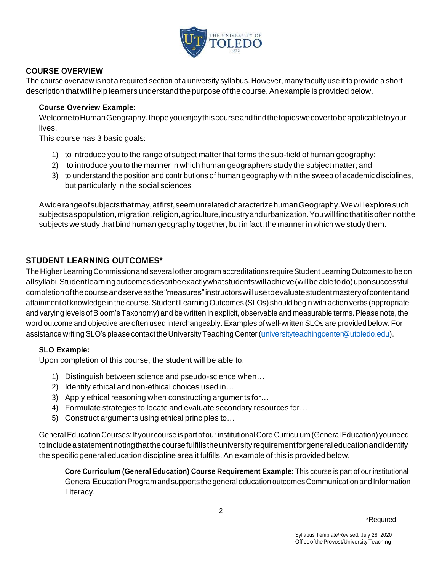

## **COURSE OVERVIEW**

The course overview is not a required section of a university syllabus. However, many faculty use it to provide a short description that will help learners understand the purpose of the course. An example is provided below.

#### **Course Overview Example:**

WelcometoHumanGeography.Ihopeyouenjoythiscourseandfindthetopicswecovertobeapplicabletoyour lives.

This course has 3 basic goals:

- 1) to introduce you to the range of subject matter that forms the sub-field of human geography;
- 2) to introduce you to the manner in which human geographers study the subject matter; and
- 3) to understand the position and contributions of human geography within the sweep of academic disciplines, but particularly in the social sciences

Awiderangeofsubjectsthatmay,atfirst,seemunrelatedcharacterizehumanGeography.Wewillexploresuch subjectsaspopulation,migration,religion,agriculture,industryandurbanization.Youwillfindthatitisoftennotthe subjects we study that bind human geography together, but in fact, the manner in which we study them.

# **STUDENT LEARNING OUTCOMES\***

The Higher Learning Commission and several other program accreditations require Student Learning Outcomes to be on allsyllabi.Studentlearningoutcomesdescribeexactlywhatstudentswillachieve(willbeabletodo)uponsuccessful completionofthecourseandserveasthe"measures"instructorswillusetoevaluatestudentmasteryofcontentand attainmentof knowledge in the course.StudentLearningOutcomes (SLOs) should begin with action verbs (appropriate and varying levels of Bloom's Taxonomy) and be written in explicit, observable and measurable terms. Please note, the word outcome and objective are often used interchangeably. Examples of well-written SLOs are provided below. For assistance writing SLO's please contact the University Teaching Center [\(universityteachingcenter@utoledo.edu\)](mailto:universityteachingcenter@utoledo.edu).

## **SLO Example:**

Upon completion of this course, the student will be able to:

- 1) Distinguish between science and pseudo-science when…
- 2) Identify ethical and non-ethical choices used in…
- 3) Apply ethical reasoning when constructing arguments for…
- 4) Formulate strategies to locate and evaluate secondary resources for…
- 5) Construct arguments using ethical principles to…

GeneralEducationCourses:If your course is partofourinstitutionalCore Curriculum (GeneralEducation) you need toincludeastatementnotingthatthecoursefulfillstheuniversityrequirementforgeneraleducationandidentify the specific general education discipline area it fulfills.An example of this is provided below.

**Core Curriculum (General Education) Course Requirement Example**: This course is part of our institutional GeneralEducationProgramand supports the generaleducation outcomesCommunication and Information Literacy.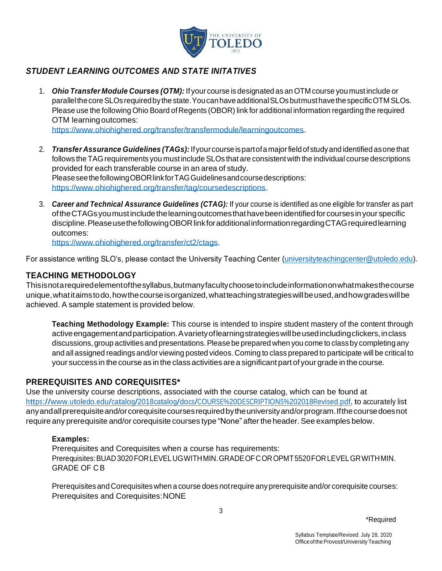

# *STUDENT LEARNING OUTCOMES AND STATE INITATIVES*

1. *Ohio Transfer Module Courses (OTM):* If your course is designated as an OTM course you mustinclude or parallelthecoreSLOs requiredby the state.YoucanhaveadditionalSLOsbutmusthavethespecificOTM SLOs. Please use the following Ohio Board of Regents (OBOR) link for additional information regarding the required OTM learning outcomes:

[https://www.ohiohighered.org/transfer/transfermodule/learningoutcomes.](https://www.ohiohighered.org/transfer/transfermodule/learningoutcomes)

- 2. *Transfer Assurance Guidelines (TAGs):* Ifyour course ispartofa majorfield ofstudyand identified asone that follows the TAG requirements you must include SLOs that are consistent with the individual course descriptions provided for each transferable course in an area of study. PleaseseethefollowingOBORlinkforTAGGuidelinesandcoursedescriptions: [https://www.ohiohighered.org/transfer/tag/coursedescriptions.](https://www.ohiohighered.org/transfer/tag/coursedescriptions)
- 3. *Career and Technical Assurance Guidelines (CTAG):* If your course is identified as one eligible for transfer as part oftheCTAGsyoumustincludethelearningoutcomesthathavebeenidentifiedforcoursesinyour specific discipline. Please use the following OBOR link for additional information regarding CTAG required learning outcomes:

[https://www.ohiohighered.org/transfer/ct2/ctags.](https://www.ohiohighered.org/transfer/ct2/ctags)

For assistance writing SLO's, please contact the University Teaching Center [\(universityteachingcenter@utoledo.edu\)](mailto:universityteachingcenter@utoledo.edu).

#### **TEACHING METHODOLOGY**

Thisisnotarequiredelementofthesyllabus,butmanyfacultychoosetoincludeinformationonwhatmakesthecourse unique,whatitaimstodo,howthecourseisorganized,whatteachingstrategieswillbeused,andhowgradeswillbe achieved. A sample statement is provided below.

**Teaching Methodology Example:** This course is intended to inspire student mastery of the content through activeengagementandparticipation.Avarietyoflearningstrategieswillbeusedincludingclickers,inclass discussions, group activities and presentations. Please be prepared when you come to class by completing any and all assigned readings and/or viewing posted videos. Coming to class prepared to participate will be critical to your success in the course as in the classactivities area significant partof your grade in the course*.*

## **PREREQUISITES AND COREQUISITES\***

Use the university course descriptions, associated with the course catalog, which can be found at [https://www.utoledo.edu/catalog/2018catalog/docs/COURSE%20DESCRIPTIONS%202018Revised.pdf,](https://www.utoledo.edu/catalog/2018catalog/docs/COURSE%20DESCRIPTIONS%202018Revised.pdf) to accurately list any and all prerequisite and/or corequisite courses required by the university and/or program. If the course does not require any prerequisite and/or corequisite courses type "None" after the header. See examples below.

#### **Examples:**

Prerequisites and Corequisites when a course has requirements: Prerequisites:BUAD 3020FORLEVELUGWITHMIN.GRADEOFCOROPMT5520FORLEVELGRWITHMIN. GRADE OF C B

Prerequisites and Corequisites when a course does not require any prerequisite and/or corequisite courses: Prerequisites and Corequisites:NONE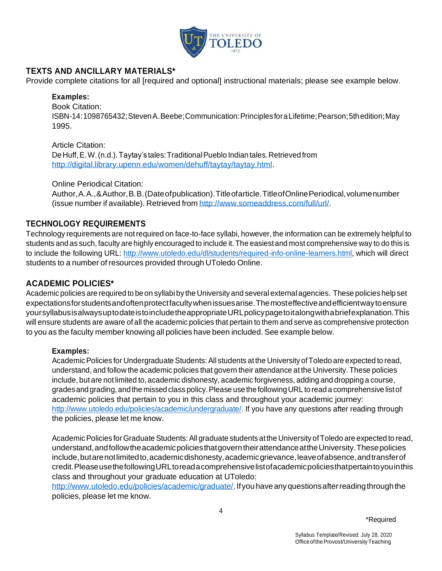

## **TEXTS AND ANCILLARY MATERIALS\***

Provide complete citations for all [required and optional] instructional materials; please see example below.

#### **Examples:**

Book Citation: ISBN-14:1098765432;StevenA.Beebe;Communication:PrinciplesforaLifetime;Pearson;5thedition;May 1995.

Article Citation: DeHuff,E.W.(n.d.).Taytay's tales:TraditionalPueblo Indian tales.Retrieved from

[http://digital.library.upenn.edu/women/dehuff/taytay/taytay.html.](http://digital.library.upenn.edu/women/dehuff/taytay/taytay.html)

Online Periodical Citation:

Author,A.A.,&Author,B.B.(Dateofpublication).Titleofarticle.TitleofOnlinePeriodical,volumenumber (issue number if available). Retrieved from [http://www.someaddress.com/full/url/.](http://www.someaddress.com/full/url/)

#### **TECHNOLOGY REQUIREMENTS**

Technology requirements are notrequired on face-to-face syllabi, however, the information can be extremely helpful to students and as such, faculty are highly encouraged to include it. The easiestand most comprehensive way to do this is to include the following URL: [http://www.utoledo.edu/dl/students/required-info-online-learners.html,](http://www.utoledo.edu/dl/students/required-info-online-learners.html) which will direct students to a number of resources provided through UToledo Online.

#### **ACADEMIC POLICIES\***

Academic policies are required to be on syllabi by the University and several external agencies. These policies help set expectationsforstudentsandoftenprotectfacultywhenissuesarise.Themosteffectiveandefficientwaytoensure yoursyllabusisalwaysuptodateistoincludetheappropriateURLpolicypagetoitalongwithabriefexplanation.This will ensure students are aware of all the academic policies that pertain to them and serve as comprehensive protection to you as the faculty member knowing all policies have been included. See example below.

#### **Examples:**

Academic Policies for Undergraduate Students: All students at the University of Toledo are expected to read, understand, and follow the academic policies that govern their attendance at the University. These policies include, but are not limited to, academic dishonesty, academic forgiveness, adding and dropping a course, grades and grading, and the missed class policy. Please use the following URL to read a comprehensive list of academic policies that pertain to you in this class and throughout your academic journey: [http://www.utoledo.edu/policies/academic/undergraduate/.](http://www.utoledo.edu/policies/academic/undergraduate/) If you have any questions after reading through the policies, please let me know.

Academic Policies for Graduate Students: All graduate students at the University of Toledo are expected to read, understand,andfollowtheacademicpoliciesthatgoverntheirattendanceattheUniversity.Thesepolicies include,butarenotlimitedto,academicdishonesty,academicgrievance,leaveofabsence,andtransferof credit.PleaseusethefollowingURLtoreadacomprehensivelistofacademicpoliciesthatpertaintoyouinthis class and throughout your graduate education at UToledo:

http://www.utoledo.edu/policies/academic/graduate/. If you have any questions after reading through the policies, please let me know.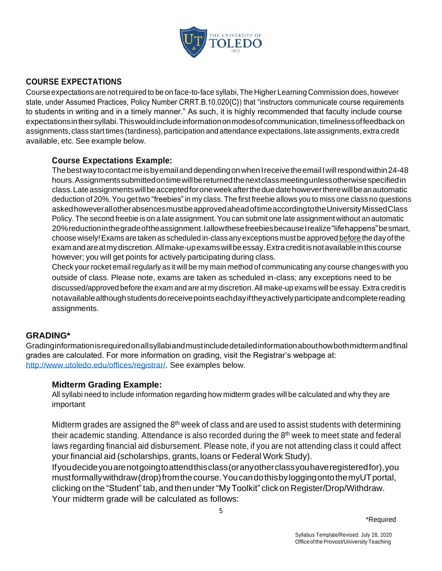

# **COURSE EXPECTATIONS**

Course expectations are not required to be on face-to-face syllabi, The Higher Learning Commission does, however state, under Assumed Practices, Policy Number CRRT.B.10.020{C}) that "instructors communicate course requirements to students in writing and in a timely manner." As such, it is highly recommended that faculty include course expectationsintheirsyllabi.Thiswouldincludeinformationonmodesofcommunication,timelinessoffeedbackon assignments, class start times (tardiness), participation and attendance expectations, late assignments, extra credit available, etc. See example below.

## **Course Expectations Example:**

The best way to contact me is by email and depending on when I receive the email I will respond within 24-48 hours.Assignmentssubmittedontimewillbereturnedthenextclassmeetingunlessotherwisespecifiedin class.Lateassignmentswillbeacceptedforoneweekaftertheduedatehowevertherewillbeanautomatic deduction of 20%.You gettwo "freebies" in my class. The first freebie allows you to miss one class no questions askedhoweverallotherabsencesmustbeapprovedaheadoftimeaccordingtotheUniversityMissedClass Policy. The second freebie is on a late assignment.You can submit one late assignment without an automatic 20%reductioninthegradeoftheassignment.IallowthesefreebiesbecauseIrealize"lifehappens"besmart, choose wisely!Exams are taken as scheduled in-class any exceptions mustbe approved before the dayofthe examandareatmydiscretion.Allmake-upexamswillbeessay.Extracreditisnotavailableinthiscourse however; you will get points for actively participating during class.

Check your rocket email regularly as it will be my main method of communicating any course changes with you outside of class. Please note, exams are taken as scheduled in-class; any exceptions need to be discussed/approved before the exam and are atmy discretion.All make-up exams will be essay.Extra creditis notavailable although students do receive points each day if they actively participate and complete reading assignments.

## **GRADING\***

Gradinginformationisrequiredonallsyllabiandmustincludedetailedinformationabouthowbothmidtermandfinal grades are calculated. For more information on grading, visit the Registrar's webpage at: [http://www.utoledo.edu/offices/registrar/.](http://www.utoledo.edu/offices/registrar/) See examples below.

## **Midterm Grading Example:**

All syllabi need to include information regarding how midterm grades will be calculated and why they are important

Midterm grades are assigned the  $8<sup>th</sup>$  week of class and are used to assist students with determining their academic standing. Attendance is also recorded during the  $8<sup>th</sup>$  week to meet state and federal laws regarding financial aid disbursement. Please note, if you are not attending class it could affect your financial aid (scholarships, grants, loans or Federal Work Study).

Ifyoudecideyouarenotgoingtoattendthisclass(oranyotherclassyouhaveregisteredfor),you mustformallywithdraw(drop)fromthecourse.YoucandothisbyloggingontothemyUTportal, clicking on the "Student" tab, and then under "My Toolkit" click on Register/Drop/Withdraw. Your midterm grade will be calculated as follows: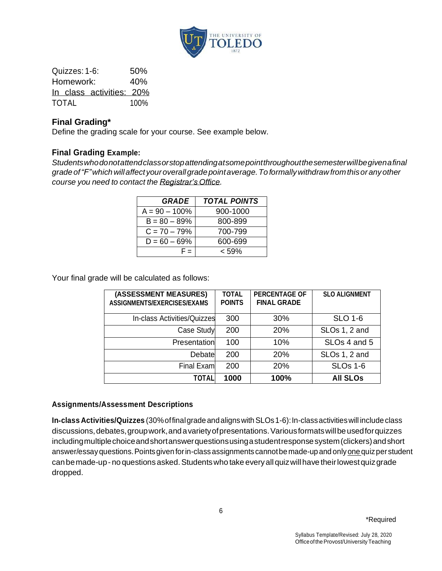

Quizzes: 1-6: 50% Homework: 40% In class activities: 20% TOTAL 100%

## **Final Grading\***

Define the grading scale for your course. See example below.

#### **Final Grading Example:**

*Studentswhodonotattendclassorstopattendingatsomepointthroughoutthesemesterwillbegivenafinal gradeof"F"which willaffect youroverallgradepointaverage.To formallywithdraw fromthisor anyother course you need to contact the Registrar's Office.*

| <b>GRADE</b>     | <b>TOTAL POINTS</b> |
|------------------|---------------------|
| $A = 90 - 100\%$ | 900-1000            |
| $B = 80 - 89%$   | 800-899             |
| $C = 70 - 79\%$  | 700-799             |
| $D = 60 - 69\%$  | 600-699             |
| = =              | 59% >               |

Your final grade will be calculated as follows:

| (ASSESSMENT MEASURES)<br>ASSIGNMENTS/EXERCISES/EXAMS | <b>TOTAL</b><br><b>POINTS</b> | <b>PERCENTAGE OF</b><br><b>FINAL GRADE</b> | <b>SLO ALIGNMENT</b>      |
|------------------------------------------------------|-------------------------------|--------------------------------------------|---------------------------|
| In-class Activities/Quizzes                          | 300                           | 30%                                        | <b>SLO 1-6</b>            |
| Case Study                                           | 200                           | <b>20%</b>                                 | SLOs 1, 2 and             |
| Presentation                                         | 100                           | 10%                                        | SLO <sub>s</sub> 4 and 5  |
| Debate                                               | 200                           | <b>20%</b>                                 | SLO <sub>s</sub> 1, 2 and |
| Final Exam                                           | 200                           | 20%                                        | <b>SLOs 1-6</b>           |
| TOTAL                                                | 1000                          | 100%                                       | <b>All SLOs</b>           |

#### **Assignments/Assessment Descriptions**

**In**‐**class Activities/Quizzes** (30%offinalgrade andalignswithSLOs1-6):In-classactivitieswill include class discussions, debates, group work, and a variety of presentations. Various formats will be used for quizzes includingmultiplechoiceandshortanswerquestionsusingastudentresponsesystem(clickers)andshort answer/essayquestions.Pointsgiven forin-classassignments cannotbe made-up and onlyone quizperstudent can be made-up - no questions asked. Students who take every all quiz will have their lowest quiz grade dropped.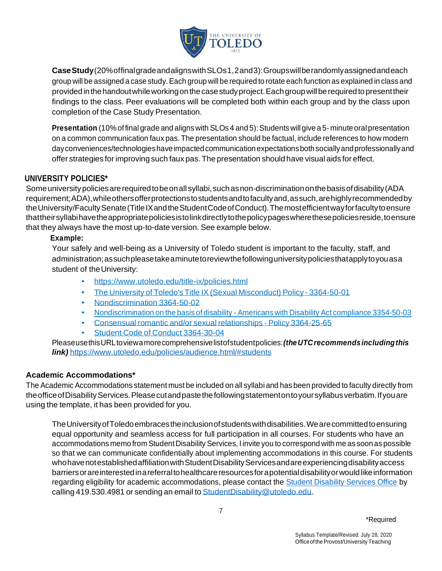

**CaseStudy**(20%offinalgradeandalignswithSLOs1,2and3):Groupswillberandomlyassignedandeach group will be assigned a case study.Each group will be required to rotate each function as explained in class and provided in the handout while working on the case study project. Each group will be required to present their findings to the class. Peer evaluations will be completed both within each group and by the class upon completion of the Case Study Presentation.

**Presentation** (10% of final grade and aligns with SLOs 4 and 5): Students will give a 5- minute oral presentation on a common communication faux pas. The presentation should be factual, include references to how modern dayconveniences/technologieshaveimpactedcommunicationexpectationsbothsociallyandprofessionallyand offer strategies for improving such faux pas. The presentation should have visual aids for effect.

#### **UNIVERSITY POLICIES\***

Some university policies are required to be on all syllabi, such as non-discrimination on the basis of disability (ADA requirement;ADA),whileothersofferprotectionstostudentsandtofacultyand,assuch,arehighlyrecommendedby the University/Faculty Senate (Title IX and the Student Code of Conduct). The most efficient way for faculty to ensure thattheirsyllabihavetheappropriatepoliciesistolinkdirectlytothepolicypageswherethesepoliciesreside,toensure that they always have the most up-to-date version. See example below.

#### **Example:**

Your safely and well-being as a University of Toledo student is important to the faculty, staff, and administration;assuchpleasetakeaminutetoreviewthefollowinguniversitypoliciesthatapplytoyouasa student of the University:

- <https://www.utoledo.edu/title-ix/policies.html>
- The University of Toledo's Title IX (Sexual [Misconduct\)](https://www.utoledo.edu/policies/administration/diversity/pdfs/3364_50_01.pdf) Policy 3364-50-01
- [Nondiscrimination](https://www.utoledo.edu/policies/administration/diversity/pdfs/3364-50-02.pdf) 3364-50-02
- [Nondiscrimination](https://www.utoledo.edu/policies/administration/diversity/pdfs/3364_50_03_Nondiscrimination_o.pdf) on the basis of disability Americans with Disability Act compliance 3354-50-03
- Consensual romantic and/or sexual [relationships](https://www.utoledo.edu/policies/administration/humanresources/pdfs/3364-25-65.pdf) Policy 3364-25-65
- Student Code of Conduct [3364-30-04](https://www.utoledo.edu/policies/main_campus/student_life/pdfs/3364_30_04_Student_code_of_conduct.pdf)

PleaseusethisURLtoviewamorecomprehensivelistofstudentpolicies:*(theUTCrecommendsincludingthis link)* <https://www.utoledo.edu/policies/audience.html/#students>

#### **Academic Accommodations\***

The Academic Accommodations statement must be included on all syllabi and has been provided to faculty directly from the office of Disability Services. Please cutand paste the following statement on to your syllabus verbatim. If you are using the template, it has been provided for you.

TheUniversityofToledoembracestheinclusionofstudentswithdisabilities.Wearecommittedtoensuring equal opportunity and seamless access for full participation in all courses. For students who have an accommodations memo from Student Disability Services, I invite you to correspond with me as soon as possible so that we can communicate confidentially about implementing accommodations in this course. For students who have not established affiliation with Student Disability Services and are experiencing disability access barriers or are interested in a referral to healthcare resources for a potential disability or would like information regarding eligibility for academic accommodations, please contact the [Student Disability Services Office](http://www.utoledo.edu/offices/student-disability-services/index.html) by calling 419.530.4981 or sending an email to [StudentDisability@utoledo.edu.](mailto:StudentDisability@utoledo.edu)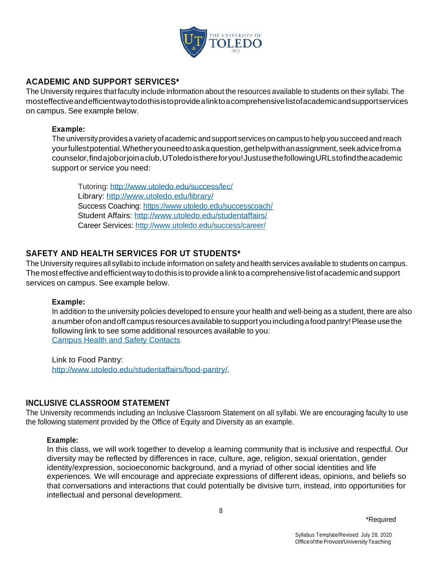

## **ACADEMIC AND SUPPORT SERVICES\***

The University requires that faculty include information about the resources available to students on their syllabi. The mosteffectiveandefficientwaytodothisistoprovidealinktoacomprehensivelistofacademicandsupportservices on campus. See example below.

#### **Example:**

The universityprovidesa variety ofacademic and support services on campus to help you succeed and reach yourfullestpotential.Whetheryouneedtoaskaquestion,gethelpwithanassignment,seekadvicefroma counselor,findajoborjoinaclub,UToledoisthereforyou!JustusethefollowingURLstofindtheacademic support or service you need:

Tutoring:<http://www.utoledo.edu/success/lec/> Library:<http://www.utoledo.edu/library/> Success Coaching:<https://www.utoledo.edu/successcoach/> Student Affairs:<http://www.utoledo.edu/studentaffairs/> Career Services:<http://www.utoledo.edu/success/career/>

## **SAFETY AND HEALTH SERVICES FOR UT STUDENTS\***

The University requires all syllabi to include information on safety and health services available to students on campus. The most effective and efficient way to do this is to provide a link to a comprehensive list of academic and support services on campus. See example below.

#### **Example:**

In addition to the university policies developed to ensure your health and well-being as a student, there are also anumber of on and off campus resources available to support you including a food pantry! Please use the following link to see some additional resources available to you: [Campus Health and Safety Contacts](http://www.utoledo.edu/offices/provost/utc/docs/CampusHealthSafetyContacts.pdf)

Link to Food Pantry: [http://www.utoledo.edu/studentaffairs/food-pantry/.](http://www.utoledo.edu/studentaffairs/food-pantry/)

#### **INCLUSIVE CLASSROOM STATEMENT**

The University recommends including an Inclusive Classroom Statement on all syllabi. We are encouraging faculty to use the following statement provided by the Office of Equity and Diversity as an example.

#### **Example:**

In this class, we will work together to develop a learning community that is inclusive and respectful. Our diversity may be reflected by differences in race, culture, age, religion, sexual orientation, gender identity/expression, socioeconomic background, and a myriad of other social identities and life experiences. We will encourage and appreciate expressions of different ideas, opinions, and beliefs so that conversations and interactions that could potentially be divisive turn, instead, into opportunities for intellectual and personal development.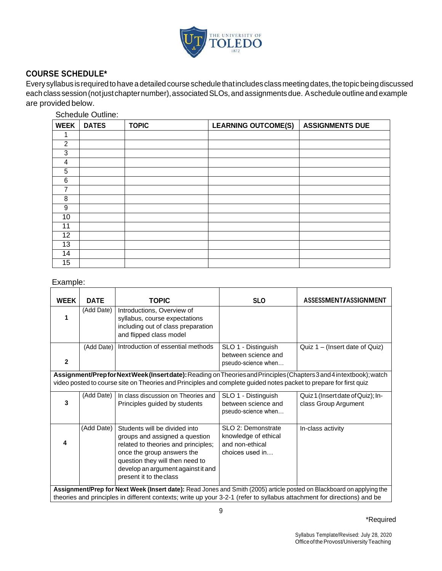

## **COURSE SCHEDULE\***

Every syllabus isrequired to have a detailed course schedule thatincludes classmeetingdates,the topicbeingdiscussed each class session (not just chapter number), associated SLOs, and assignments due. Aschedule outline and example are provided below.

Schedule Outline:

| <b>WEEK</b>     | <b>DATES</b> | <b>TOPIC</b> | <b>LEARNING OUTCOME(S)</b> | <b>ASSIGNMENTS DUE</b> |
|-----------------|--------------|--------------|----------------------------|------------------------|
|                 |              |              |                            |                        |
| $\overline{2}$  |              |              |                            |                        |
| 3               |              |              |                            |                        |
| 4               |              |              |                            |                        |
| $5\phantom{.0}$ |              |              |                            |                        |
| 6               |              |              |                            |                        |
| ⇁               |              |              |                            |                        |
| 8               |              |              |                            |                        |
| 9               |              |              |                            |                        |
| 10              |              |              |                            |                        |
| 11              |              |              |                            |                        |
| 12              |              |              |                            |                        |
| 13              |              |              |                            |                        |
| 14              |              |              |                            |                        |
| 15              |              |              |                            |                        |

## Example:

| <b>WEEK</b>                                                                                                                                                                                                                              | <b>DATE</b>                                                                                                                                                                                                                                      | <b>TOPIC</b>                                                                                                                                                                                                                             | <b>SLO</b>                                                                       | ASSESSMENT/ASSIGNMENT                                     |
|------------------------------------------------------------------------------------------------------------------------------------------------------------------------------------------------------------------------------------------|--------------------------------------------------------------------------------------------------------------------------------------------------------------------------------------------------------------------------------------------------|------------------------------------------------------------------------------------------------------------------------------------------------------------------------------------------------------------------------------------------|----------------------------------------------------------------------------------|-----------------------------------------------------------|
|                                                                                                                                                                                                                                          | (Add Date)                                                                                                                                                                                                                                       | Introductions, Overview of<br>syllabus, course expectations<br>including out of class preparation<br>and flipped class model                                                                                                             |                                                                                  |                                                           |
| $\mathbf 2$                                                                                                                                                                                                                              | (Add Date)                                                                                                                                                                                                                                       | Introduction of essential methods                                                                                                                                                                                                        | SLO 1 - Distinguish<br>between science and<br>pseudo-science when                | Quiz $1 -$ (Insert date of Quiz)                          |
| Assignment/Prepfor Next Week (Insert date): Reading on Theories and Principles (Chapters 3 and 4 intextbook); watch<br>video posted to course site on Theories and Principles and complete guided notes packet to prepare for first quiz |                                                                                                                                                                                                                                                  |                                                                                                                                                                                                                                          |                                                                                  |                                                           |
| 3                                                                                                                                                                                                                                        | (Add Date)                                                                                                                                                                                                                                       | In class discussion on Theories and<br>Principles guided by students                                                                                                                                                                     | SLO 1 - Distinguish<br>between science and<br>pseudo-science when                | Quiz 1 (Insert date of Quiz); In-<br>class Group Argument |
| 4                                                                                                                                                                                                                                        | (Add Date)                                                                                                                                                                                                                                       | Students will be divided into<br>groups and assigned a question<br>related to theories and principles;<br>once the group answers the<br>question they will then need to<br>develop an argument against it and<br>present it to the class | SLO 2: Demonstrate<br>knowledge of ethical<br>and non-ethical<br>choices used in | In-class activity                                         |
|                                                                                                                                                                                                                                          | Assignment/Prep for Next Week (Insert date): Read Jones and Smith (2005) article posted on Blackboard on applying the<br>theories and principles in different contexts; write up your 3-2-1 (refer to syllabus attachment for directions) and be |                                                                                                                                                                                                                                          |                                                                                  |                                                           |